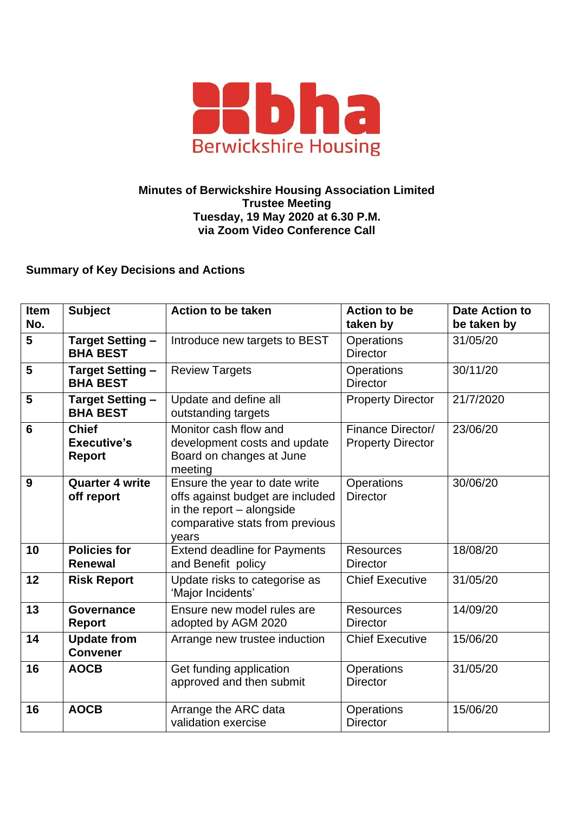

## **Minutes of Berwickshire Housing Association Limited Trustee Meeting Tuesday, 19 May 2020 at 6.30 P.M. via Zoom Video Conference Call**

## **Summary of Key Decisions and Actions**

| <b>Item</b><br>No. | <b>Subject</b>                                      | <b>Action to be taken</b>                                                                                                                  | <b>Action to be</b><br>taken by               | <b>Date Action to</b><br>be taken by |
|--------------------|-----------------------------------------------------|--------------------------------------------------------------------------------------------------------------------------------------------|-----------------------------------------------|--------------------------------------|
| 5                  | <b>Target Setting -</b><br><b>BHA BEST</b>          | Introduce new targets to BEST                                                                                                              | <b>Operations</b><br><b>Director</b>          | 31/05/20                             |
| 5                  | <b>Target Setting -</b><br><b>BHA BEST</b>          | <b>Review Targets</b>                                                                                                                      | Operations<br><b>Director</b>                 | 30/11/20                             |
| 5                  | <b>Target Setting -</b><br><b>BHA BEST</b>          | Update and define all<br>outstanding targets                                                                                               | <b>Property Director</b>                      | 21/7/2020                            |
| 6                  | <b>Chief</b><br><b>Executive's</b><br><b>Report</b> | Monitor cash flow and<br>development costs and update<br>Board on changes at June<br>meeting                                               | Finance Director/<br><b>Property Director</b> | 23/06/20                             |
| 9                  | <b>Quarter 4 write</b><br>off report                | Ensure the year to date write<br>offs against budget are included<br>in the report - alongside<br>comparative stats from previous<br>years | <b>Operations</b><br><b>Director</b>          | 30/06/20                             |
| 10                 | <b>Policies for</b><br><b>Renewal</b>               | <b>Extend deadline for Payments</b><br>and Benefit policy                                                                                  | <b>Resources</b><br><b>Director</b>           | 18/08/20                             |
| 12                 | <b>Risk Report</b>                                  | Update risks to categorise as<br>'Major Incidents'                                                                                         | <b>Chief Executive</b>                        | 31/05/20                             |
| 13                 | Governance<br><b>Report</b>                         | Ensure new model rules are<br>adopted by AGM 2020                                                                                          | <b>Resources</b><br><b>Director</b>           | 14/09/20                             |
| 14                 | <b>Update from</b><br><b>Convener</b>               | Arrange new trustee induction                                                                                                              | <b>Chief Executive</b>                        | 15/06/20                             |
| 16                 | <b>AOCB</b>                                         | Get funding application<br>approved and then submit                                                                                        | Operations<br><b>Director</b>                 | 31/05/20                             |
| 16                 | <b>AOCB</b>                                         | Arrange the ARC data<br>validation exercise                                                                                                | Operations<br><b>Director</b>                 | 15/06/20                             |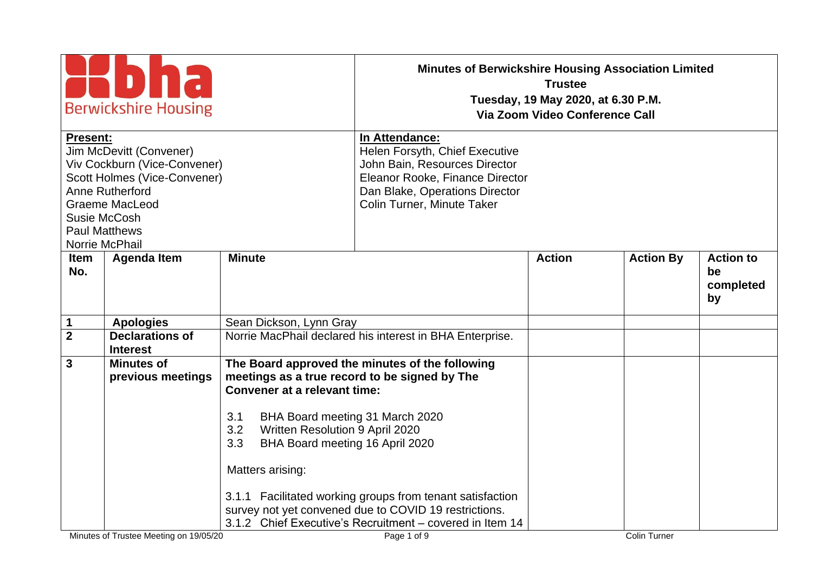| <b>Berwickshire Housing</b>                                                                                                                                                                               |                                                                                                                                                                                                                                        | <b>Minutes of Berwickshire Housing Association Limited</b><br><b>Trustee</b><br>Tuesday, 19 May 2020, at 6.30 P.M.<br>Via Zoom Video Conference Call                                                                                             |               |                     |                                           |
|-----------------------------------------------------------------------------------------------------------------------------------------------------------------------------------------------------------|----------------------------------------------------------------------------------------------------------------------------------------------------------------------------------------------------------------------------------------|--------------------------------------------------------------------------------------------------------------------------------------------------------------------------------------------------------------------------------------------------|---------------|---------------------|-------------------------------------------|
| Present:<br>Jim McDevitt (Convener)<br>Viv Cockburn (Vice-Convener)<br>Scott Holmes (Vice-Convener)<br>Anne Rutherford<br><b>Graeme MacLeod</b><br>Susie McCosh<br><b>Paul Matthews</b><br>Norrie McPhail |                                                                                                                                                                                                                                        | In Attendance:<br>Helen Forsyth, Chief Executive<br>John Bain, Resources Director<br>Eleanor Rooke, Finance Director<br>Dan Blake, Operations Director<br>Colin Turner, Minute Taker                                                             |               |                     |                                           |
| <b>Agenda Item</b><br><b>Item</b><br>No.                                                                                                                                                                  | <b>Minute</b>                                                                                                                                                                                                                          |                                                                                                                                                                                                                                                  | <b>Action</b> | <b>Action By</b>    | <b>Action to</b><br>be<br>completed<br>by |
| 1<br><b>Apologies</b>                                                                                                                                                                                     | Sean Dickson, Lynn Gray                                                                                                                                                                                                                |                                                                                                                                                                                                                                                  |               |                     |                                           |
| $\overline{\mathbf{2}}$<br><b>Declarations of</b><br><b>Interest</b>                                                                                                                                      |                                                                                                                                                                                                                                        | Norrie MacPhail declared his interest in BHA Enterprise.                                                                                                                                                                                         |               |                     |                                           |
| $\mathbf{3}$<br><b>Minutes of</b><br>previous meetings<br>Minutes of Trustee Meeting on 19/05/20                                                                                                          | meetings as a true record to be signed by The<br><b>Convener at a relevant time:</b><br>BHA Board meeting 31 March 2020<br>3.1<br>3.2<br>Written Resolution 9 April 2020<br>3.3<br>BHA Board meeting 16 April 2020<br>Matters arising: | The Board approved the minutes of the following<br>3.1.1 Facilitated working groups from tenant satisfaction<br>survey not yet convened due to COVID 19 restrictions.<br>3.1.2 Chief Executive's Recruitment - covered in Item 14<br>Page 1 of 9 |               | <b>Colin Turner</b> |                                           |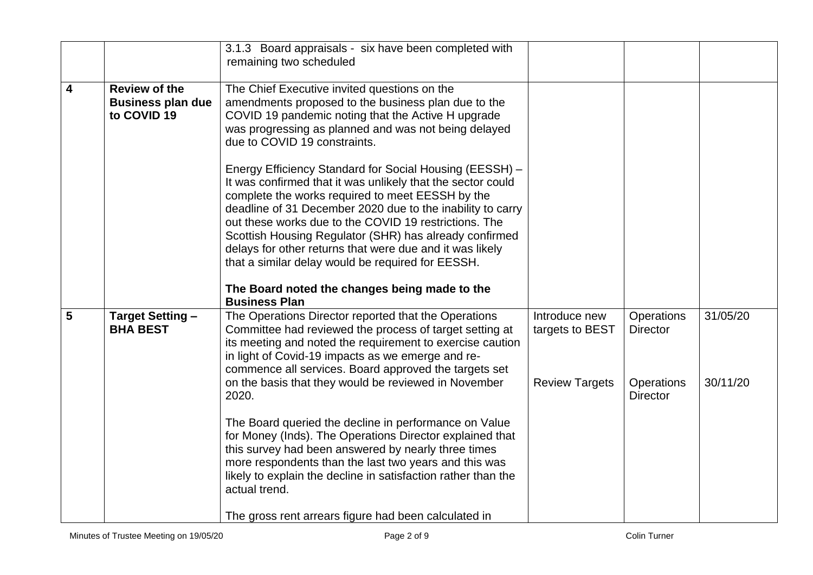|                         |                                                                 | 3.1.3 Board appraisals - six have been completed with                                                                                                                                                                                                                                                                                                                                                                                                                                                                                                 |                                                           |                                                                       |                      |
|-------------------------|-----------------------------------------------------------------|-------------------------------------------------------------------------------------------------------------------------------------------------------------------------------------------------------------------------------------------------------------------------------------------------------------------------------------------------------------------------------------------------------------------------------------------------------------------------------------------------------------------------------------------------------|-----------------------------------------------------------|-----------------------------------------------------------------------|----------------------|
|                         |                                                                 | remaining two scheduled                                                                                                                                                                                                                                                                                                                                                                                                                                                                                                                               |                                                           |                                                                       |                      |
| $\overline{\mathbf{4}}$ | <b>Review of the</b><br><b>Business plan due</b><br>to COVID 19 | The Chief Executive invited questions on the<br>amendments proposed to the business plan due to the<br>COVID 19 pandemic noting that the Active H upgrade<br>was progressing as planned and was not being delayed<br>due to COVID 19 constraints.                                                                                                                                                                                                                                                                                                     |                                                           |                                                                       |                      |
|                         |                                                                 | Energy Efficiency Standard for Social Housing (EESSH) -<br>It was confirmed that it was unlikely that the sector could<br>complete the works required to meet EESSH by the<br>deadline of 31 December 2020 due to the inability to carry<br>out these works due to the COVID 19 restrictions. The<br>Scottish Housing Regulator (SHR) has already confirmed<br>delays for other returns that were due and it was likely<br>that a similar delay would be required for EESSH.<br>The Board noted the changes being made to the<br><b>Business Plan</b> |                                                           |                                                                       |                      |
| 5                       | <b>Target Setting -</b><br><b>BHA BEST</b>                      | The Operations Director reported that the Operations<br>Committee had reviewed the process of target setting at<br>its meeting and noted the requirement to exercise caution<br>in light of Covid-19 impacts as we emerge and re-<br>commence all services. Board approved the targets set<br>on the basis that they would be reviewed in November<br>2020.                                                                                                                                                                                           | Introduce new<br>targets to BEST<br><b>Review Targets</b> | Operations<br><b>Director</b><br><b>Operations</b><br><b>Director</b> | 31/05/20<br>30/11/20 |
|                         |                                                                 | The Board queried the decline in performance on Value<br>for Money (Inds). The Operations Director explained that<br>this survey had been answered by nearly three times<br>more respondents than the last two years and this was<br>likely to explain the decline in satisfaction rather than the<br>actual trend.<br>The gross rent arrears figure had been calculated in                                                                                                                                                                           |                                                           |                                                                       |                      |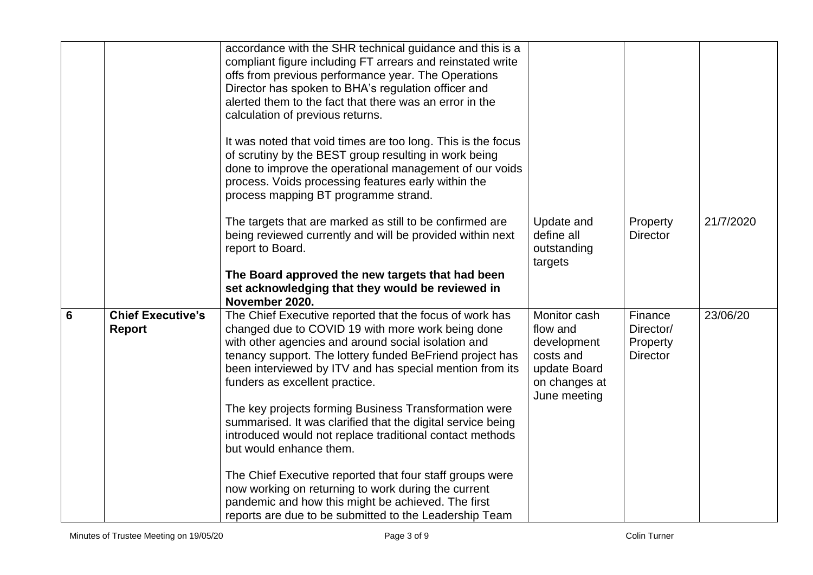|                 |                                    | accordance with the SHR technical guidance and this is a<br>compliant figure including FT arrears and reinstated write<br>offs from previous performance year. The Operations<br>Director has spoken to BHA's regulation officer and<br>alerted them to the fact that there was an error in the<br>calculation of previous returns.<br>It was noted that void times are too long. This is the focus<br>of scrutiny by the BEST group resulting in work being<br>done to improve the operational management of our voids<br>process. Voids processing features early within the<br>process mapping BT programme strand.                                                                                                                                                          |                                                                                                       |                                                     |           |
|-----------------|------------------------------------|---------------------------------------------------------------------------------------------------------------------------------------------------------------------------------------------------------------------------------------------------------------------------------------------------------------------------------------------------------------------------------------------------------------------------------------------------------------------------------------------------------------------------------------------------------------------------------------------------------------------------------------------------------------------------------------------------------------------------------------------------------------------------------|-------------------------------------------------------------------------------------------------------|-----------------------------------------------------|-----------|
|                 |                                    | The targets that are marked as still to be confirmed are<br>being reviewed currently and will be provided within next<br>report to Board.<br>The Board approved the new targets that had been<br>set acknowledging that they would be reviewed in<br>November 2020.                                                                                                                                                                                                                                                                                                                                                                                                                                                                                                             | Update and<br>define all<br>outstanding<br>targets                                                    | Property<br><b>Director</b>                         | 21/7/2020 |
| $6\phantom{1}6$ | <b>Chief Executive's</b><br>Report | The Chief Executive reported that the focus of work has<br>changed due to COVID 19 with more work being done<br>with other agencies and around social isolation and<br>tenancy support. The lottery funded BeFriend project has<br>been interviewed by ITV and has special mention from its<br>funders as excellent practice.<br>The key projects forming Business Transformation were<br>summarised. It was clarified that the digital service being<br>introduced would not replace traditional contact methods<br>but would enhance them.<br>The Chief Executive reported that four staff groups were<br>now working on returning to work during the current<br>pandemic and how this might be achieved. The first<br>reports are due to be submitted to the Leadership Team | Monitor cash<br>flow and<br>development<br>costs and<br>update Board<br>on changes at<br>June meeting | Finance<br>Director/<br>Property<br><b>Director</b> | 23/06/20  |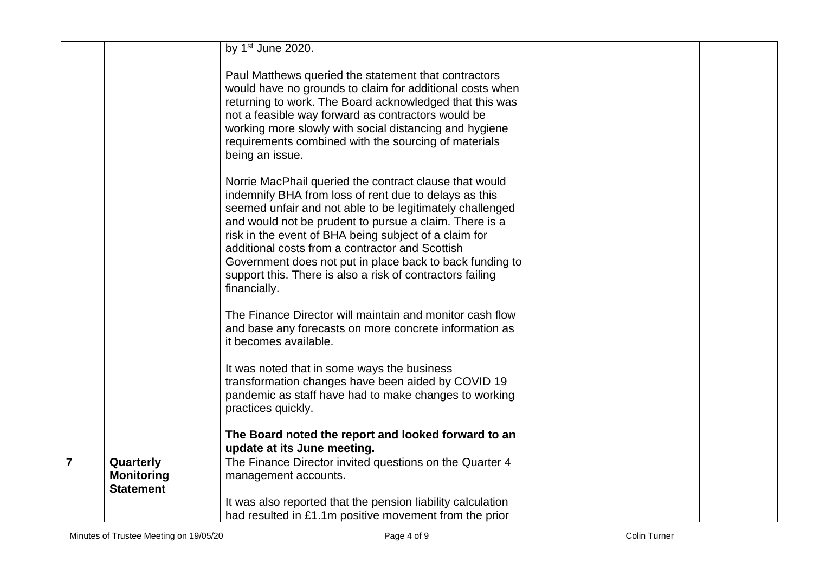|                |                                                    | by $1st$ June 2020.                                                                                                                                                                                                                                                                                                                                                                                                                                                                        |  |  |
|----------------|----------------------------------------------------|--------------------------------------------------------------------------------------------------------------------------------------------------------------------------------------------------------------------------------------------------------------------------------------------------------------------------------------------------------------------------------------------------------------------------------------------------------------------------------------------|--|--|
|                |                                                    | Paul Matthews queried the statement that contractors<br>would have no grounds to claim for additional costs when<br>returning to work. The Board acknowledged that this was<br>not a feasible way forward as contractors would be<br>working more slowly with social distancing and hygiene<br>requirements combined with the sourcing of materials<br>being an issue.                                                                                                                     |  |  |
|                |                                                    | Norrie MacPhail queried the contract clause that would<br>indemnify BHA from loss of rent due to delays as this<br>seemed unfair and not able to be legitimately challenged<br>and would not be prudent to pursue a claim. There is a<br>risk in the event of BHA being subject of a claim for<br>additional costs from a contractor and Scottish<br>Government does not put in place back to back funding to<br>support this. There is also a risk of contractors failing<br>financially. |  |  |
|                |                                                    | The Finance Director will maintain and monitor cash flow<br>and base any forecasts on more concrete information as<br>it becomes available.                                                                                                                                                                                                                                                                                                                                                |  |  |
|                |                                                    | It was noted that in some ways the business<br>transformation changes have been aided by COVID 19<br>pandemic as staff have had to make changes to working<br>practices quickly.                                                                                                                                                                                                                                                                                                           |  |  |
|                |                                                    | The Board noted the report and looked forward to an<br>update at its June meeting.                                                                                                                                                                                                                                                                                                                                                                                                         |  |  |
| $\overline{7}$ | Quarterly<br><b>Monitoring</b><br><b>Statement</b> | The Finance Director invited questions on the Quarter 4<br>management accounts.                                                                                                                                                                                                                                                                                                                                                                                                            |  |  |
|                |                                                    | It was also reported that the pension liability calculation<br>had resulted in £1.1m positive movement from the prior                                                                                                                                                                                                                                                                                                                                                                      |  |  |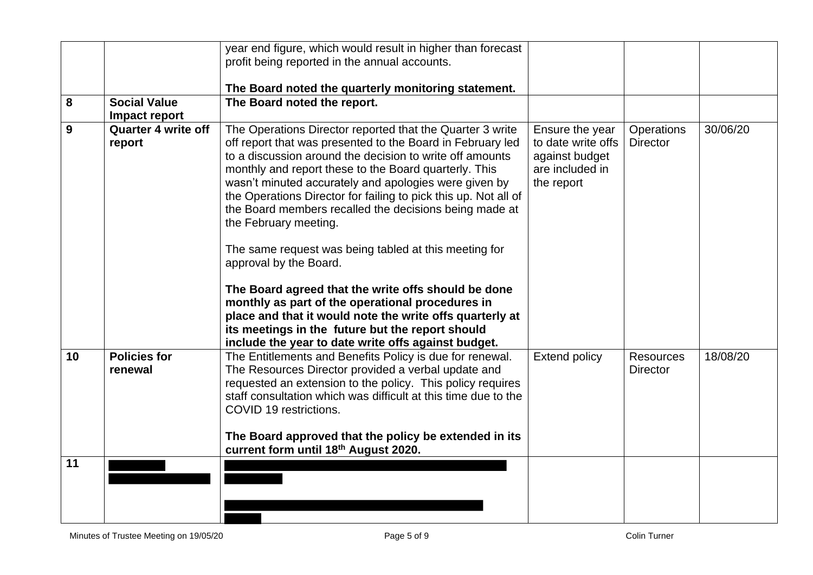|    |                            | year end figure, which would result in higher than forecast                                                              |                      |                  |          |
|----|----------------------------|--------------------------------------------------------------------------------------------------------------------------|----------------------|------------------|----------|
|    |                            | profit being reported in the annual accounts.                                                                            |                      |                  |          |
|    |                            |                                                                                                                          |                      |                  |          |
|    |                            | The Board noted the quarterly monitoring statement.                                                                      |                      |                  |          |
| 8  | <b>Social Value</b>        | The Board noted the report.                                                                                              |                      |                  |          |
|    | Impact report              |                                                                                                                          |                      |                  |          |
| 9  | <b>Quarter 4 write off</b> | The Operations Director reported that the Quarter 3 write                                                                | Ensure the year      | Operations       | 30/06/20 |
|    | report                     | off report that was presented to the Board in February led                                                               | to date write offs   | <b>Director</b>  |          |
|    |                            | to a discussion around the decision to write off amounts                                                                 | against budget       |                  |          |
|    |                            | monthly and report these to the Board quarterly. This                                                                    | are included in      |                  |          |
|    |                            | wasn't minuted accurately and apologies were given by<br>the Operations Director for failing to pick this up. Not all of | the report           |                  |          |
|    |                            | the Board members recalled the decisions being made at                                                                   |                      |                  |          |
|    |                            | the February meeting.                                                                                                    |                      |                  |          |
|    |                            |                                                                                                                          |                      |                  |          |
|    |                            | The same request was being tabled at this meeting for                                                                    |                      |                  |          |
|    |                            | approval by the Board.                                                                                                   |                      |                  |          |
|    |                            |                                                                                                                          |                      |                  |          |
|    |                            | The Board agreed that the write offs should be done                                                                      |                      |                  |          |
|    |                            | monthly as part of the operational procedures in                                                                         |                      |                  |          |
|    |                            | place and that it would note the write offs quarterly at                                                                 |                      |                  |          |
|    |                            | its meetings in the future but the report should                                                                         |                      |                  |          |
| 10 | <b>Policies for</b>        | include the year to date write offs against budget.<br>The Entitlements and Benefits Policy is due for renewal.          | <b>Extend policy</b> | <b>Resources</b> | 18/08/20 |
|    | renewal                    | The Resources Director provided a verbal update and                                                                      |                      | <b>Director</b>  |          |
|    |                            | requested an extension to the policy. This policy requires                                                               |                      |                  |          |
|    |                            | staff consultation which was difficult at this time due to the                                                           |                      |                  |          |
|    |                            | COVID 19 restrictions.                                                                                                   |                      |                  |          |
|    |                            |                                                                                                                          |                      |                  |          |
|    |                            | The Board approved that the policy be extended in its                                                                    |                      |                  |          |
|    |                            | current form until 18th August 2020.                                                                                     |                      |                  |          |
| 11 |                            |                                                                                                                          |                      |                  |          |
|    |                            |                                                                                                                          |                      |                  |          |
|    |                            |                                                                                                                          |                      |                  |          |
|    |                            |                                                                                                                          |                      |                  |          |
|    |                            |                                                                                                                          |                      |                  |          |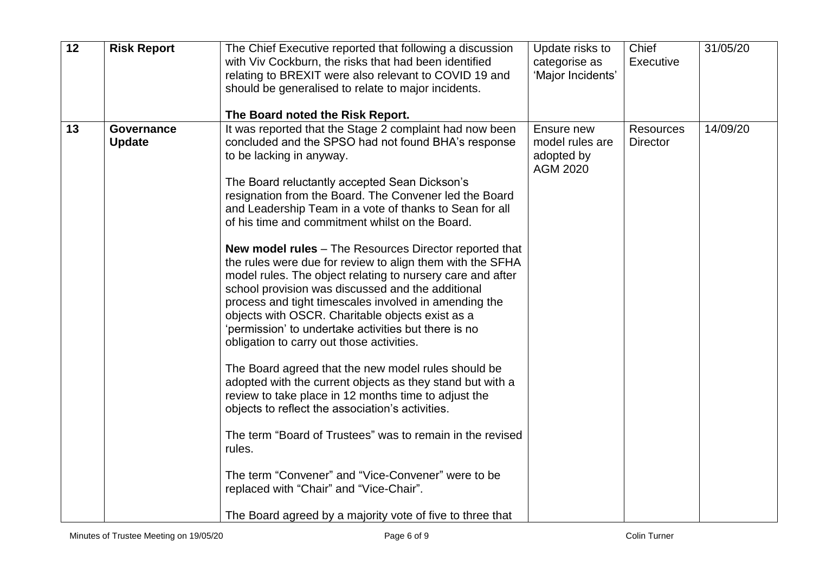| $\overline{12}$ | <b>Risk Report</b>                 | The Chief Executive reported that following a discussion<br>with Viv Cockburn, the risks that had been identified<br>relating to BREXIT were also relevant to COVID 19 and<br>should be generalised to relate to major incidents.<br>The Board noted the Risk Report.                                                                                                                                                                                                                                                                                                                                                                                                                                                                                                                                                                                                                                                                                                                                                                                                                                                                                                                                                                                                                                       | Update risks to<br>categorise as<br>'Major Incidents'          | Chief<br><b>Executive</b>           | 31/05/20 |
|-----------------|------------------------------------|-------------------------------------------------------------------------------------------------------------------------------------------------------------------------------------------------------------------------------------------------------------------------------------------------------------------------------------------------------------------------------------------------------------------------------------------------------------------------------------------------------------------------------------------------------------------------------------------------------------------------------------------------------------------------------------------------------------------------------------------------------------------------------------------------------------------------------------------------------------------------------------------------------------------------------------------------------------------------------------------------------------------------------------------------------------------------------------------------------------------------------------------------------------------------------------------------------------------------------------------------------------------------------------------------------------|----------------------------------------------------------------|-------------------------------------|----------|
| 13              | <b>Governance</b><br><b>Update</b> | It was reported that the Stage 2 complaint had now been<br>concluded and the SPSO had not found BHA's response<br>to be lacking in anyway.<br>The Board reluctantly accepted Sean Dickson's<br>resignation from the Board. The Convener led the Board<br>and Leadership Team in a vote of thanks to Sean for all<br>of his time and commitment whilst on the Board.<br><b>New model rules</b> – The Resources Director reported that<br>the rules were due for review to align them with the SFHA<br>model rules. The object relating to nursery care and after<br>school provision was discussed and the additional<br>process and tight timescales involved in amending the<br>objects with OSCR. Charitable objects exist as a<br>'permission' to undertake activities but there is no<br>obligation to carry out those activities.<br>The Board agreed that the new model rules should be<br>adopted with the current objects as they stand but with a<br>review to take place in 12 months time to adjust the<br>objects to reflect the association's activities.<br>The term "Board of Trustees" was to remain in the revised<br>rules.<br>The term "Convener" and "Vice-Convener" were to be<br>replaced with "Chair" and "Vice-Chair".<br>The Board agreed by a majority vote of five to three that | Ensure new<br>model rules are<br>adopted by<br><b>AGM 2020</b> | <b>Resources</b><br><b>Director</b> | 14/09/20 |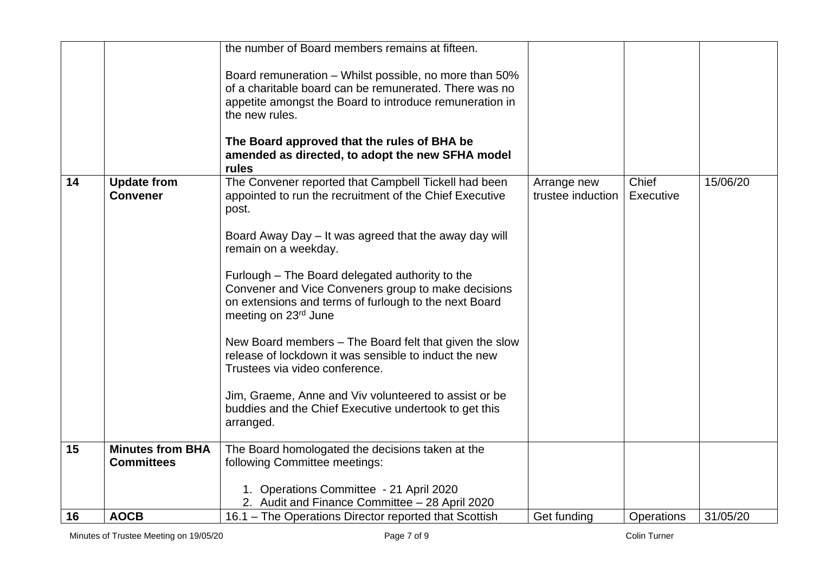|    |                                              | the number of Board members remains at fifteen.                                                                                                                                                                                                                                                                                                                                                                                                                                                                                                                                                                                                                                          |                                  |                    |          |
|----|----------------------------------------------|------------------------------------------------------------------------------------------------------------------------------------------------------------------------------------------------------------------------------------------------------------------------------------------------------------------------------------------------------------------------------------------------------------------------------------------------------------------------------------------------------------------------------------------------------------------------------------------------------------------------------------------------------------------------------------------|----------------------------------|--------------------|----------|
|    |                                              | Board remuneration - Whilst possible, no more than 50%<br>of a charitable board can be remunerated. There was no<br>appetite amongst the Board to introduce remuneration in<br>the new rules.<br>The Board approved that the rules of BHA be<br>amended as directed, to adopt the new SFHA model<br>rules                                                                                                                                                                                                                                                                                                                                                                                |                                  |                    |          |
| 14 | <b>Update from</b><br><b>Convener</b>        | The Convener reported that Campbell Tickell had been<br>appointed to run the recruitment of the Chief Executive<br>post.<br>Board Away Day – It was agreed that the away day will<br>remain on a weekday.<br>Furlough - The Board delegated authority to the<br>Convener and Vice Conveners group to make decisions<br>on extensions and terms of furlough to the next Board<br>meeting on 23rd June<br>New Board members – The Board felt that given the slow<br>release of lockdown it was sensible to induct the new<br>Trustees via video conference.<br>Jim, Graeme, Anne and Viv volunteered to assist or be<br>buddies and the Chief Executive undertook to get this<br>arranged. | Arrange new<br>trustee induction | Chief<br>Executive | 15/06/20 |
| 15 | <b>Minutes from BHA</b><br><b>Committees</b> | The Board homologated the decisions taken at the<br>following Committee meetings:                                                                                                                                                                                                                                                                                                                                                                                                                                                                                                                                                                                                        |                                  |                    |          |
|    |                                              | 1. Operations Committee - 21 April 2020<br>2. Audit and Finance Committee - 28 April 2020                                                                                                                                                                                                                                                                                                                                                                                                                                                                                                                                                                                                |                                  |                    |          |
| 16 | <b>AOCB</b>                                  | 16.1 – The Operations Director reported that Scottish                                                                                                                                                                                                                                                                                                                                                                                                                                                                                                                                                                                                                                    | Get funding                      | <b>Operations</b>  | 31/05/20 |